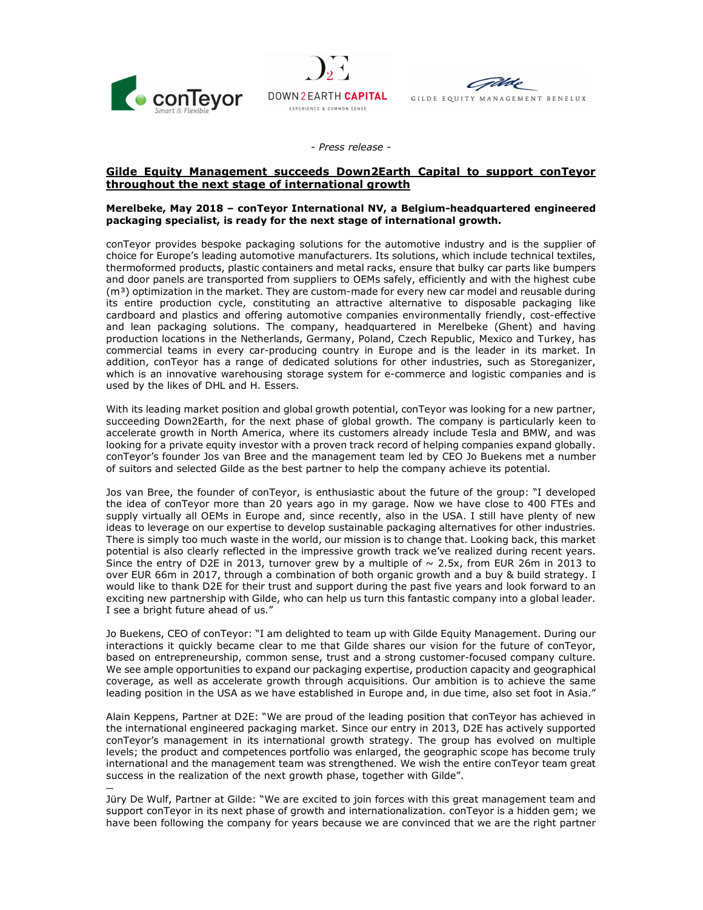





- Press release -

## Gilde Equity Management succeeds Down2Earth Capital to support conTeyor throughout the next stage of international growth

## Merelbeke, May 2018 – conTeyor International NV, a Belgium-headquartered engineered packaging specialist, is ready for the next stage of international growth.

conTeyor provides bespoke packaging solutions for the automotive industry and is the supplier of choice for Europe's leading automotive manufacturers. Its solutions, which include technical textiles, thermoformed products, plastic containers and metal racks, ensure that bulky car parts like bumpers and door panels are transported from suppliers to OEMs safely, efficiently and with the highest cube  $(m<sup>3</sup>)$  optimization in the market. They are custom-made for every new car model and reusable during its entire production cycle, constituting an attractive alternative to disposable packaging like cardboard and plastics and offering automotive companies environmentally friendly, cost-effective and lean packaging solutions. The company, headquartered in Merelbeke (Ghent) and having production locations in the Netherlands, Germany, Poland, Czech Republic, Mexico and Turkey, has commercial teams in every car-producing country in Europe and is the leader in its market. In addition, conTeyor has a range of dedicated solutions for other industries, such as Storeganizer, which is an innovative warehousing storage system for e-commerce and logistic companies and is used by the likes of DHL and H. Essers.

With its leading market position and global growth potential, conTeyor was looking for a new partner, succeeding Down2Earth, for the next phase of global growth. The company is particularly keen to accelerate growth in North America, where its customers already include Tesla and BMW, and was looking for a private equity investor with a proven track record of helping companies expand globally. conTeyor's founder Jos van Bree and the management team led by CEO Jo Buekens met a number of suitors and selected Gilde as the best partner to help the company achieve its potential.

 Jos van Bree, the founder of conTeyor, is enthusiastic about the future of the group: "I developed the idea of conTeyor more than 20 years ago in my garage. Now we have close to 400 FTEs and supply virtually all OEMs in Europe and, since recently, also in the USA. I still have plenty of new ideas to leverage on our expertise to develop sustainable packaging alternatives for other industries. There is simply too much waste in the world, our mission is to change that. Looking back, this market potential is also clearly reflected in the impressive growth track we've realized during recent years. Since the entry of D2E in 2013, turnover grew by a multiple of  $\sim$  2.5x, from EUR 26m in 2013 to over EUR 66m in 2017, through a combination of both organic growth and a buy & build strategy. I would like to thank D2E for their trust and support during the past five years and look forward to an exciting new partnership with Gilde, who can help us turn this fantastic company into a global leader. I see a bright future ahead of us."

Jo Buekens, CEO of conTeyor: "I am delighted to team up with Gilde Equity Management. During our interactions it quickly became clear to me that Gilde shares our vision for the future of conTeyor, based on entrepreneurship, common sense, trust and a strong customer-focused company culture. We see ample opportunities to expand our packaging expertise, production capacity and geographical coverage, as well as accelerate growth through acquisitions. Our ambition is to achieve the same leading position in the USA as we have established in Europe and, in due time, also set foot in Asia."

Alain Keppens, Partner at D2E: "We are proud of the leading position that conTeyor has achieved in the international engineered packaging market. Since our entry in 2013, D2E has actively supported conTeyor's management in its international growth strategy. The group has evolved on multiple levels; the product and competences portfolio was enlarged, the geographic scope has become truly international and the management team was strengthened. We wish the entire conTeyor team great success in the realization of the next growth phase, together with Gilde".

 Jüry De Wulf, Partner at Gilde: "We are excited to join forces with this great management team and support conTeyor in its next phase of growth and internationalization. conTeyor is a hidden gem; we have been following the company for years because we are convinced that we are the right partner